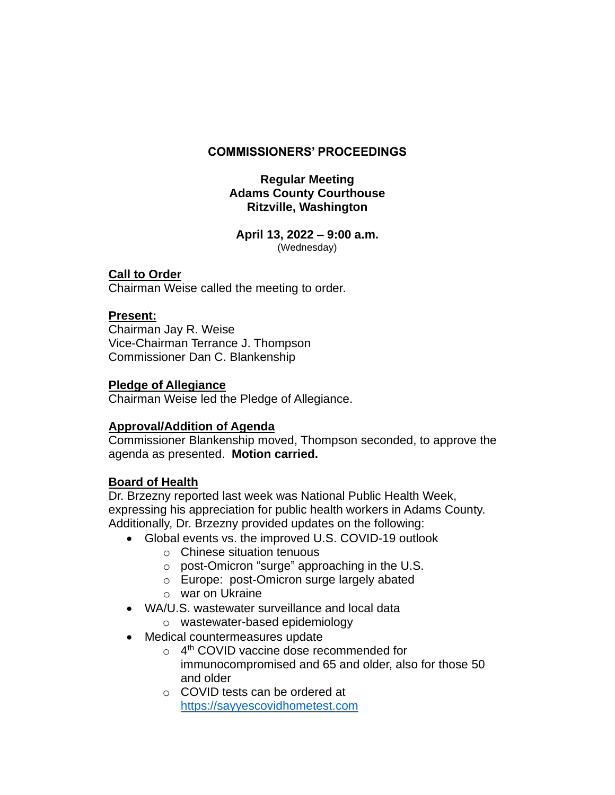# **COMMISSIONERS' PROCEEDINGS**

## **Regular Meeting Adams County Courthouse Ritzville, Washington**

**April 13, 2022 – 9:00 a.m.** (Wednesday)

# **Call to Order**

Chairman Weise called the meeting to order.

# **Present:**

Chairman Jay R. Weise Vice-Chairman Terrance J. Thompson Commissioner Dan C. Blankenship

## **Pledge of Allegiance**

Chairman Weise led the Pledge of Allegiance.

# **Approval/Addition of Agenda**

Commissioner Blankenship moved, Thompson seconded, to approve the agenda as presented. **Motion carried.**

## **Board of Health**

Dr. Brzezny reported last week was National Public Health Week, expressing his appreciation for public health workers in Adams County. Additionally, Dr. Brzezny provided updates on the following:

- Global events vs. the improved U.S. COVID-19 outlook
	- o Chinese situation tenuous
	- o post-Omicron "surge" approaching in the U.S.
	- o Europe: post-Omicron surge largely abated
	- o war on Ukraine
- WA/U.S. wastewater surveillance and local data
	- o wastewater-based epidemiology
- Medical countermeasures update
	- o 4<sup>th</sup> COVID vaccine dose recommended for immunocompromised and 65 and older, also for those 50 and older
	- o COVID tests can be ordered at [https://sayyescovidhometest.com](https://sayyescovidhometest.com/)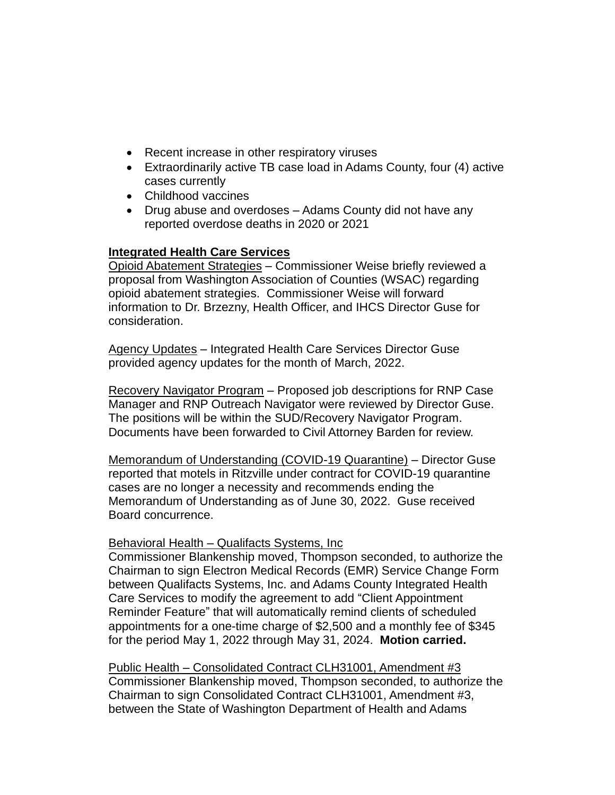- Recent increase in other respiratory viruses
- Extraordinarily active TB case load in Adams County, four (4) active cases currently
- Childhood vaccines
- Drug abuse and overdoses Adams County did not have any reported overdose deaths in 2020 or 2021

# **Integrated Health Care Services**

Opioid Abatement Strategies – Commissioner Weise briefly reviewed a proposal from Washington Association of Counties (WSAC) regarding opioid abatement strategies. Commissioner Weise will forward information to Dr. Brzezny, Health Officer, and IHCS Director Guse for consideration.

Agency Updates - Integrated Health Care Services Director Guse provided agency updates for the month of March, 2022.

Recovery Navigator Program – Proposed job descriptions for RNP Case Manager and RNP Outreach Navigator were reviewed by Director Guse. The positions will be within the SUD/Recovery Navigator Program. Documents have been forwarded to Civil Attorney Barden for review.

Memorandum of Understanding (COVID-19 Quarantine) – Director Guse reported that motels in Ritzville under contract for COVID-19 quarantine cases are no longer a necessity and recommends ending the Memorandum of Understanding as of June 30, 2022. Guse received Board concurrence.

## Behavioral Health – Qualifacts Systems, Inc

Commissioner Blankenship moved, Thompson seconded, to authorize the Chairman to sign Electron Medical Records (EMR) Service Change Form between Qualifacts Systems, Inc. and Adams County Integrated Health Care Services to modify the agreement to add "Client Appointment Reminder Feature" that will automatically remind clients of scheduled appointments for a one-time charge of \$2,500 and a monthly fee of \$345 for the period May 1, 2022 through May 31, 2024. **Motion carried.**

Public Health – Consolidated Contract CLH31001, Amendment #3 Commissioner Blankenship moved, Thompson seconded, to authorize the Chairman to sign Consolidated Contract CLH31001, Amendment #3, between the State of Washington Department of Health and Adams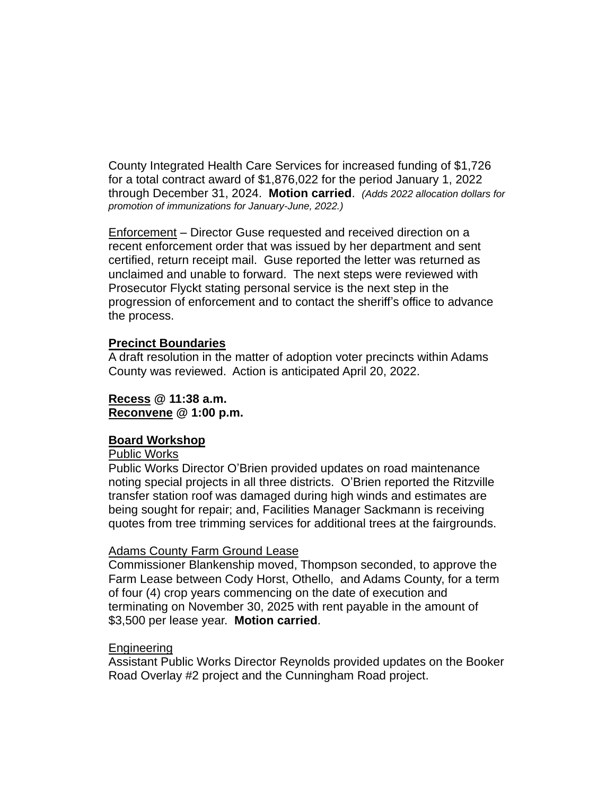County Integrated Health Care Services for increased funding of \$1,726 for a total contract award of \$1,876,022 for the period January 1, 2022 through December 31, 2024. **Motion carried**. *(Adds 2022 allocation dollars for promotion of immunizations for January-June, 2022.)*

Enforcement – Director Guse requested and received direction on a recent enforcement order that was issued by her department and sent certified, return receipt mail. Guse reported the letter was returned as unclaimed and unable to forward. The next steps were reviewed with Prosecutor Flyckt stating personal service is the next step in the progression of enforcement and to contact the sheriff's office to advance the process.

## **Precinct Boundaries**

A draft resolution in the matter of adoption voter precincts within Adams County was reviewed. Action is anticipated April 20, 2022.

## **Recess @ 11:38 a.m. Reconvene @ 1:00 p.m.**

### **Board Workshop**

### Public Works

Public Works Director O'Brien provided updates on road maintenance noting special projects in all three districts. O'Brien reported the Ritzville transfer station roof was damaged during high winds and estimates are being sought for repair; and, Facilities Manager Sackmann is receiving quotes from tree trimming services for additional trees at the fairgrounds.

### Adams County Farm Ground Lease

Commissioner Blankenship moved, Thompson seconded, to approve the Farm Lease between Cody Horst, Othello, and Adams County, for a term of four (4) crop years commencing on the date of execution and terminating on November 30, 2025 with rent payable in the amount of \$3,500 per lease year. **Motion carried**.

### Engineering

Assistant Public Works Director Reynolds provided updates on the Booker Road Overlay #2 project and the Cunningham Road project.